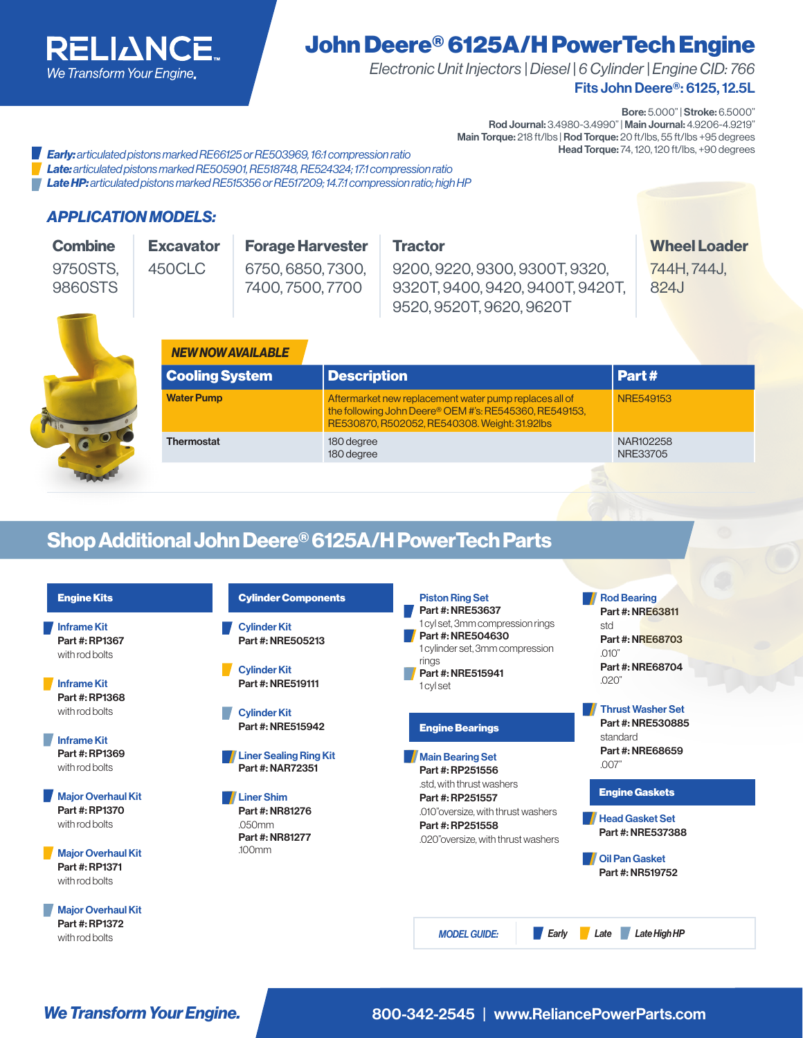

# John Deere® 6125A/H PowerTech Engine

Fits John Deere®: 6125, 12.5L *Electronic Unit Injectors | Diesel | 6 Cylinder | Engine CID: 766*

Bore: 5.000" | Stroke: 6.5000"

Rod Journal: 3.4980-3.4990" | Main Journal: 4.9206-4.9219" Main Torque: 218 ft/lbs | Rod Torque: 20 ft/lbs, 55 ft/lbs +95 degrees<br>Head Torque: 74, 120, 120 ft/lbs, +90 degrees

**Hearly:** articulated pistons marked RE66125 or RE503969, 16:1 compression ratio *Late: articulated pistons marked RE505901, RE518748, RE524324; 17:1 compression ratio Late HP: articulated pistons marked RE515356 or RE517209; 14.7:1 compression ratio; high HP*

#### *APPLICATION MODELS:*

| <b>Combine</b><br>9750STS.<br>9860STS | <b>Excavator</b><br><b>Forage Harvester</b><br>6750, 6850, 7300,<br>450CLC<br>7400, 7500, 7700<br><b>NEW NOW AVAILABLE</b><br><b>Cooling System</b> |  |                          | <b>Tractor</b><br>9200, 9220, 9300, 9300T, 9320,<br>9320T, 9400, 9420, 9400T, 9420T,<br>9520, 9520T, 9620, 9620T                                                  | <b>Wheel Loader</b><br>744H, 744J,<br>824J |
|---------------------------------------|-----------------------------------------------------------------------------------------------------------------------------------------------------|--|--------------------------|-------------------------------------------------------------------------------------------------------------------------------------------------------------------|--------------------------------------------|
|                                       |                                                                                                                                                     |  | <b>Description</b>       |                                                                                                                                                                   | Part#                                      |
|                                       | <b>Water Pump</b>                                                                                                                                   |  |                          | Aftermarket new replacement water pump replaces all of<br>the following John Deere® OEM #'s: RE545360, RE549153,<br>RE530870, R502052, RE540308. Weight: 31.92lbs | <b>NRE549153</b>                           |
|                                       | <b>Thermostat</b>                                                                                                                                   |  | 180 degree<br>180 degree |                                                                                                                                                                   | NAR102258<br>NRE33705                      |
|                                       |                                                                                                                                                     |  |                          |                                                                                                                                                                   |                                            |

## Shop Additional John Deere® 6125A/H PowerTech Parts

| <b>Engine Kits</b>                                            | <b>Cylinder Components</b>                        | <b>Rod Bearing</b><br><b>Piston Ring Set</b><br>Part #: NRE53637                                                                                          |  |
|---------------------------------------------------------------|---------------------------------------------------|-----------------------------------------------------------------------------------------------------------------------------------------------------------|--|
| <b>Inframe Kit</b><br>Part #: RP1367<br>with rod bolts        | <b>Cylinder Kit</b><br>Part #: NRE505213          | Part #: NRE63811<br>1 cyl set, 3mm compression rings<br>std<br>Part #: NRE504630<br>Part #: NRE68703<br>1 cylinder set, 3mm compression<br>.010"<br>rings |  |
| <b>Inframe Kit</b><br>Part #: RP1368                          | <b>Cylinder Kit</b><br>Part #: NRE519111          | Part #: NRE68704<br>Part #: NRE515941<br>.020'<br>1 cvl set                                                                                               |  |
| with rod bolts                                                | <b>Cylinder Kit</b><br>Part #: NRE515942          | <b>Thrust Washer Set</b><br>Part #: NRE530885<br><b>Engine Bearings</b>                                                                                   |  |
| <b>Inframe Kit</b><br>Part #: RP1369<br>with rod bolts        | <b>Liner Sealing Ring Kit</b><br>Part #: NAR72351 | standard<br>Part #: NRE68659<br>Main Bearing Set<br>.007"<br>Part #: RP251556                                                                             |  |
| <b>Major Overhaul Kit</b>                                     | <b>Liner Shim</b>                                 | .std. with thrust washers<br><b>Engine Gaskets</b><br>Part #: RP251557                                                                                    |  |
| Part #: RP1370<br>with rod bolts                              | Part #: NR81276<br>.050mm<br>Part #: NR81277      | .010" oversize, with thrust washers<br><b>Head Gasket Set</b><br>Part #: RP251558<br>Part #: NRE537388<br>.020" oversize, with thrust washers             |  |
| <b>Major Overhaul Kit</b><br>Part #: RP1371<br>with rod bolts | $100$ mm                                          | <b>Oil Pan Gasket</b><br>Part #: NR519752                                                                                                                 |  |
| <b>Major Overhaul Kit</b><br>Part #: RP1372<br>with rod bolts |                                                   | Late High HP<br><b>MODEL GUIDE:</b><br>Late                                                                                                               |  |